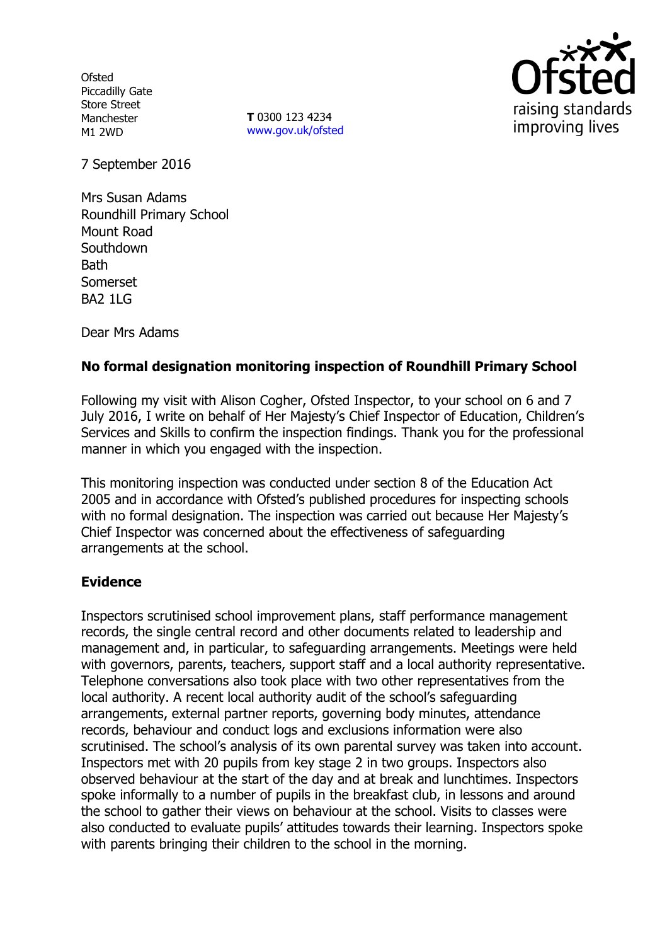**Ofsted** Piccadilly Gate Store Street Manchester M1 2WD

**T** 0300 123 4234 www.gov.uk/ofsted



7 September 2016

Mrs Susan Adams Roundhill Primary School Mount Road **Southdown Bath** Somerset BA2 1LG

Dear Mrs Adams

# **No formal designation monitoring inspection of Roundhill Primary School**

Following my visit with Alison Cogher, Ofsted Inspector, to your school on 6 and 7 July 2016, I write on behalf of Her Majesty's Chief Inspector of Education, Children's Services and Skills to confirm the inspection findings. Thank you for the professional manner in which you engaged with the inspection.

This monitoring inspection was conducted under section 8 of the Education Act 2005 and in accordance with Ofsted's published procedures for inspecting schools with no formal designation. The inspection was carried out because Her Majesty's Chief Inspector was concerned about the effectiveness of safeguarding arrangements at the school.

## **Evidence**

Inspectors scrutinised school improvement plans, staff performance management records, the single central record and other documents related to leadership and management and, in particular, to safeguarding arrangements. Meetings were held with governors, parents, teachers, support staff and a local authority representative. Telephone conversations also took place with two other representatives from the local authority. A recent local authority audit of the school's safeguarding arrangements, external partner reports, governing body minutes, attendance records, behaviour and conduct logs and exclusions information were also scrutinised. The school's analysis of its own parental survey was taken into account. Inspectors met with 20 pupils from key stage 2 in two groups. Inspectors also observed behaviour at the start of the day and at break and lunchtimes. Inspectors spoke informally to a number of pupils in the breakfast club, in lessons and around the school to gather their views on behaviour at the school. Visits to classes were also conducted to evaluate pupils' attitudes towards their learning. Inspectors spoke with parents bringing their children to the school in the morning.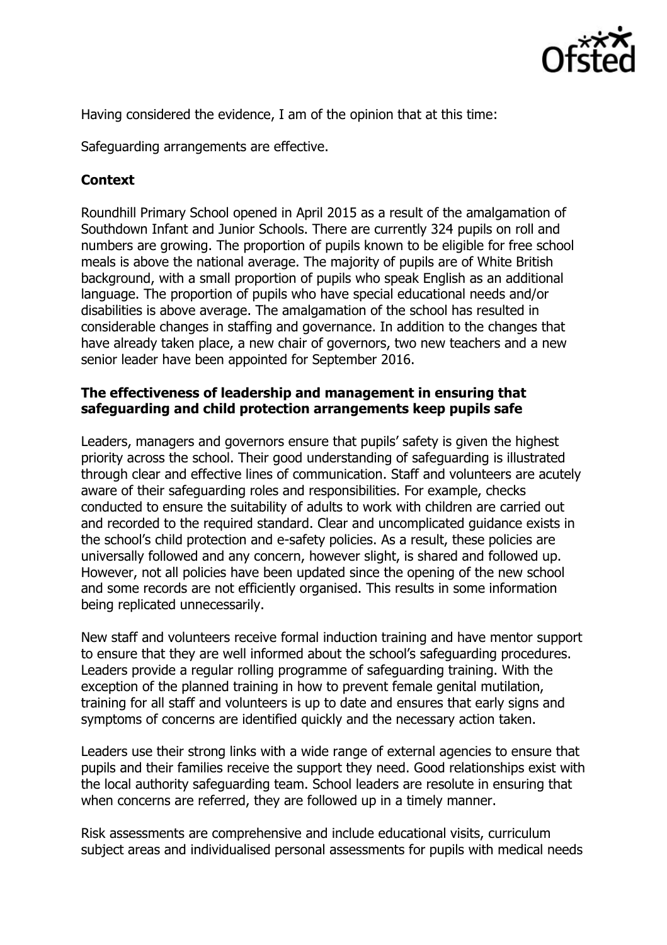

Having considered the evidence, I am of the opinion that at this time:

Safeguarding arrangements are effective.

## **Context**

Roundhill Primary School opened in April 2015 as a result of the amalgamation of Southdown Infant and Junior Schools. There are currently 324 pupils on roll and numbers are growing. The proportion of pupils known to be eligible for free school meals is above the national average. The majority of pupils are of White British background, with a small proportion of pupils who speak English as an additional language. The proportion of pupils who have special educational needs and/or disabilities is above average. The amalgamation of the school has resulted in considerable changes in staffing and governance. In addition to the changes that have already taken place, a new chair of governors, two new teachers and a new senior leader have been appointed for September 2016.

#### **The effectiveness of leadership and management in ensuring that safeguarding and child protection arrangements keep pupils safe**

Leaders, managers and governors ensure that pupils' safety is given the highest priority across the school. Their good understanding of safeguarding is illustrated through clear and effective lines of communication. Staff and volunteers are acutely aware of their safeguarding roles and responsibilities. For example, checks conducted to ensure the suitability of adults to work with children are carried out and recorded to the required standard. Clear and uncomplicated guidance exists in the school's child protection and e-safety policies. As a result, these policies are universally followed and any concern, however slight, is shared and followed up. However, not all policies have been updated since the opening of the new school and some records are not efficiently organised. This results in some information being replicated unnecessarily.

New staff and volunteers receive formal induction training and have mentor support to ensure that they are well informed about the school's safeguarding procedures. Leaders provide a regular rolling programme of safeguarding training. With the exception of the planned training in how to prevent female genital mutilation, training for all staff and volunteers is up to date and ensures that early signs and symptoms of concerns are identified quickly and the necessary action taken.

Leaders use their strong links with a wide range of external agencies to ensure that pupils and their families receive the support they need. Good relationships exist with the local authority safeguarding team. School leaders are resolute in ensuring that when concerns are referred, they are followed up in a timely manner.

Risk assessments are comprehensive and include educational visits, curriculum subject areas and individualised personal assessments for pupils with medical needs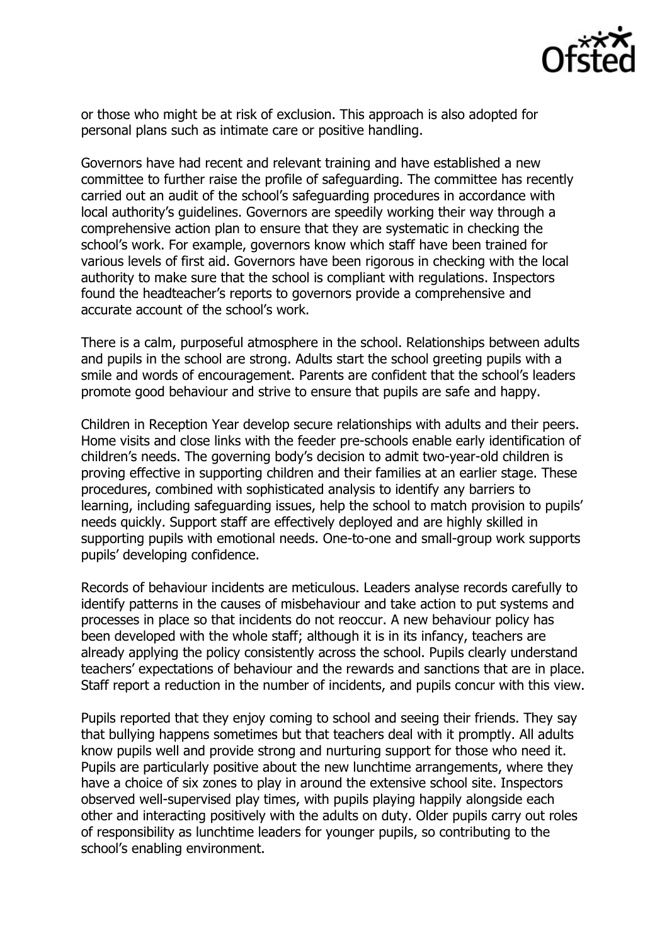

or those who might be at risk of exclusion. This approach is also adopted for personal plans such as intimate care or positive handling.

Governors have had recent and relevant training and have established a new committee to further raise the profile of safeguarding. The committee has recently carried out an audit of the school's safeguarding procedures in accordance with local authority's guidelines. Governors are speedily working their way through a comprehensive action plan to ensure that they are systematic in checking the school's work. For example, governors know which staff have been trained for various levels of first aid. Governors have been rigorous in checking with the local authority to make sure that the school is compliant with regulations. Inspectors found the headteacher's reports to governors provide a comprehensive and accurate account of the school's work.

There is a calm, purposeful atmosphere in the school. Relationships between adults and pupils in the school are strong. Adults start the school greeting pupils with a smile and words of encouragement. Parents are confident that the school's leaders promote good behaviour and strive to ensure that pupils are safe and happy.

Children in Reception Year develop secure relationships with adults and their peers. Home visits and close links with the feeder pre-schools enable early identification of children's needs. The governing body's decision to admit two-year-old children is proving effective in supporting children and their families at an earlier stage. These procedures, combined with sophisticated analysis to identify any barriers to learning, including safeguarding issues, help the school to match provision to pupils' needs quickly. Support staff are effectively deployed and are highly skilled in supporting pupils with emotional needs. One-to-one and small-group work supports pupils' developing confidence.

Records of behaviour incidents are meticulous. Leaders analyse records carefully to identify patterns in the causes of misbehaviour and take action to put systems and processes in place so that incidents do not reoccur. A new behaviour policy has been developed with the whole staff; although it is in its infancy, teachers are already applying the policy consistently across the school. Pupils clearly understand teachers' expectations of behaviour and the rewards and sanctions that are in place. Staff report a reduction in the number of incidents, and pupils concur with this view.

Pupils reported that they enjoy coming to school and seeing their friends. They say that bullying happens sometimes but that teachers deal with it promptly. All adults know pupils well and provide strong and nurturing support for those who need it. Pupils are particularly positive about the new lunchtime arrangements, where they have a choice of six zones to play in around the extensive school site. Inspectors observed well-supervised play times, with pupils playing happily alongside each other and interacting positively with the adults on duty. Older pupils carry out roles of responsibility as lunchtime leaders for younger pupils, so contributing to the school's enabling environment.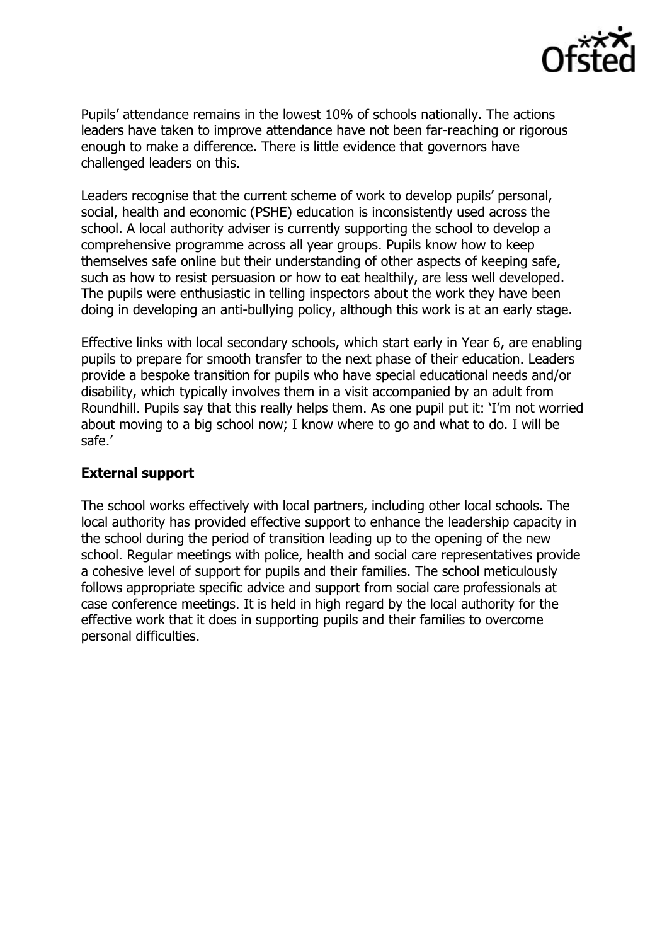

Pupils' attendance remains in the lowest 10% of schools nationally. The actions leaders have taken to improve attendance have not been far-reaching or rigorous enough to make a difference. There is little evidence that governors have challenged leaders on this.

Leaders recognise that the current scheme of work to develop pupils' personal, social, health and economic (PSHE) education is inconsistently used across the school. A local authority adviser is currently supporting the school to develop a comprehensive programme across all year groups. Pupils know how to keep themselves safe online but their understanding of other aspects of keeping safe, such as how to resist persuasion or how to eat healthily, are less well developed. The pupils were enthusiastic in telling inspectors about the work they have been doing in developing an anti-bullying policy, although this work is at an early stage.

Effective links with local secondary schools, which start early in Year 6, are enabling pupils to prepare for smooth transfer to the next phase of their education. Leaders provide a bespoke transition for pupils who have special educational needs and/or disability, which typically involves them in a visit accompanied by an adult from Roundhill. Pupils say that this really helps them. As one pupil put it: 'I'm not worried about moving to a big school now; I know where to go and what to do. I will be safe.'

## **External support**

The school works effectively with local partners, including other local schools. The local authority has provided effective support to enhance the leadership capacity in the school during the period of transition leading up to the opening of the new school. Regular meetings with police, health and social care representatives provide a cohesive level of support for pupils and their families. The school meticulously follows appropriate specific advice and support from social care professionals at case conference meetings. It is held in high regard by the local authority for the effective work that it does in supporting pupils and their families to overcome personal difficulties.